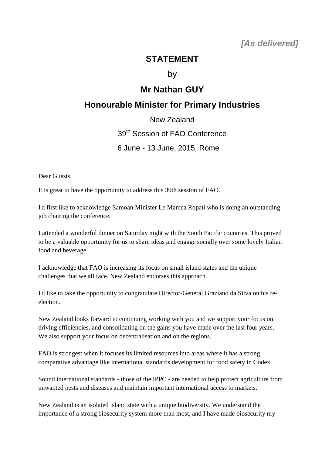## **STATEMENT**

by

## **Mr Nathan GUY**

## **Honourable Minister for Primary Industries**

New Zealand

39<sup>th</sup> Session of FAO Conference

6 June - 13 June, 2015, Rome

Dear Guests,

It is great to have the opportunity to address this 39th session of FAO.

I'd first like to acknowledge Samoan Minister Le Mamea Ropati who is doing an outstanding job chairing the conference.

I attended a wonderful dinner on Saturday night with the South Pacific countries. This proved to be a valuable opportunity for us to share ideas and engage socially over some lovely Italian food and beverage.

I acknowledge that FAO is increasing its focus on small island states and the unique challenges that we all face. New Zealand endorses this approach.

I'd like to take the opportunity to congratulate Director-General Graziano da Silva on his reelection.

New Zealand looks forward to continuing working with you and we support your focus on driving efficiencies, and consolidating on the gains you have made over the last four years. We also support your focus on decentralisation and on the regions.

FAO is strongest when it focuses its limited resources into areas where it has a strong comparative advantage like international standards development for food safety in Codex.

Sound international standards - those of the IPPC - are needed to help protect agriculture from unwanted pests and diseases and maintain important international access to markets.

New Zealand is an isolated island state with a unique biodiversity. We understand the importance of a strong biosecurity system more than most, and I have made biosecurity my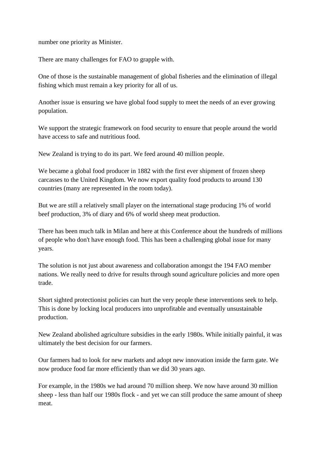number one priority as Minister.

There are many challenges for FAO to grapple with.

One of those is the sustainable management of global fisheries and the elimination of illegal fishing which must remain a key priority for all of us.

Another issue is ensuring we have global food supply to meet the needs of an ever growing population.

We support the strategic framework on food security to ensure that people around the world have access to safe and nutritious food.

New Zealand is trying to do its part. We feed around 40 million people.

We became a global food producer in 1882 with the first ever shipment of frozen sheep carcasses to the United Kingdom. We now export quality food products to around 130 countries (many are represented in the room today).

But we are still a relatively small player on the international stage producing 1% of world beef production, 3% of diary and 6% of world sheep meat production.

There has been much talk in Milan and here at this Conference about the hundreds of millions of people who don't have enough food. This has been a challenging global issue for many years.

The solution is not just about awareness and collaboration amongst the 194 FAO member nations. We really need to drive for results through sound agriculture policies and more open trade.

Short sighted protectionist policies can hurt the very people these interventions seek to help. This is done by locking local producers into unprofitable and eventually unsustainable production.

New Zealand abolished agriculture subsidies in the early 1980s. While initially painful, it was ultimately the best decision for our farmers.

Our farmers had to look for new markets and adopt new innovation inside the farm gate. We now produce food far more efficiently than we did 30 years ago.

For example, in the 1980s we had around 70 million sheep. We now have around 30 million sheep - less than half our 1980s flock - and yet we can still produce the same amount of sheep meat.